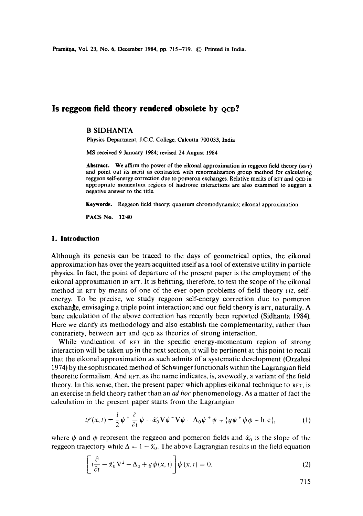Pramaņa, Vol. 23, No. 6, December 1984, pp. 715-719. © Printed in India.

# Is reggeon field theory rendered obsolete by  $ocD$ ?

# B SIDHANTA

**Physics** Department, J.C.C. College, Calcutta 700033, India

MS received 9 January 1984; revised 24 August 1984

**Abstract.** We affirm the power of the eikonal approximation in reggeon field theory (RFT) and point out its merit as contrasted with renormalization group method for calculating reggeon self-energy correction due to pomeron exchanges. Relative merits of RFT and QCD in appropriate momentum regions of hadronic interactions are also examined to suggest a negative answer to the title.

**Keywords.** Reggeon field theory; quantum chromodynamics; eikonal approximation.

PACS No. 12.40

### **1. Introduction**

Although its genesis can be traced to the days of geometrical optics, the eikonal approximation has over the years acquitted itself as a tool of extensive utility in particle physics. In fact, the point of departure of the present paper is the employment of the eikonal approximation in RFT. It is befitting, therefore, to test the scope of the eikonal method in RFT by means of one of the ever open problems of field theory *viz,* selfenergy, To be precise, we study reggeon self-energy correction due to pomeron exchange, envisaging a triple point interaction; and our field theory is  $RFT$ , naturally. A bare calculation of the above correction has recently been reported (Sidhanta 1984). Here we clarify its methodology and also establish the complementarity, rather than contrariety, between  $R+T$  and  $QCD$  as theories of strong interaction.

While vindication of RFT in the specific energy-momentum region of strong interaction will be taken up in the next section, it will be pertinent at this point to recall that the eikonal approximation as such admits of a systematic development (Orzalesi 1974) by the sophisticated method of Schwinger functionals within the Lagrangian field theoretic formalism. And RFr, as the name indicates, is, avowedly, a variant of the field theory. In this sense, then, the present paper which applies eikonal technique to  $RFT$ , is an exercise in field theory rather than an *ad hoc* phenomenology. As a matter of fact the calculation in the present paper starts from the Lagrangian

$$
\mathcal{L}(x,t) = \frac{i}{2}\psi + \frac{\partial}{\partial t}\psi - \alpha_0'\nabla\psi + \nabla\psi - \Delta_0\psi + \psi + \{g\psi + \psi\phi + \text{h.c}\},\tag{1}
$$

where  $\psi$  and  $\phi$  represent the reggeon and pomeron fields and  $\dot{\alpha}'_0$  is the slope of the reggeon trajectory while  $\Delta = 1 - \alpha_0'$ . The above Lagrangian results in the field equation

$$
\left[i\frac{\partial}{\partial t} - \tilde{\alpha}_0' \nabla^2 - \Delta_0 + g \phi(x, t)\right] \psi(x, t) = 0.
$$
 (2)

715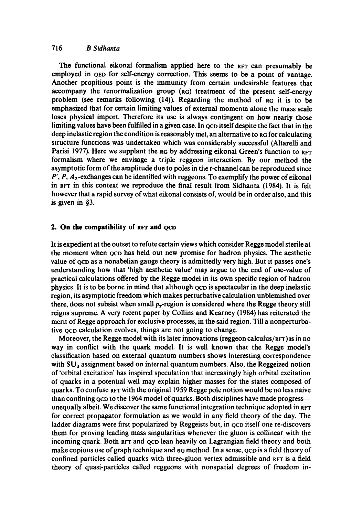# 716 *B Sidhanta*

The functional eikonal formalism applied here to the RFT can presumably be employed in QED for self-energy correction. This seems to be a point of vantage. Another propitious point is the immunity from certain undesirable features that accompany the renormalization group (RG) treatment of the present self-energy problem (see remarks following  $(14)$ ). Regarding the method of  $_{\rm RG}$  it is to be emphasized that for certain limiting values of external momenta alone the mass scale loses physical import. Therefore its use is always contingent on how nearly those limiting values have been fulfilled in a given case. In ocp itself despite the fact that in the deep inelastic region the condition is reasonably met, an alternative to RG for calculating structure functions was undertaken which was considerably successful (Altarelli and Parisi 1977). Here we supplant the RG by addressing eikonal Green's function to RFT formalism where we envisage a triple reggeon interaction. By our method the asymptotic form of the amplitude due to poles in the t-channel can be reproduced since  $P', P, A<sub>2</sub>$ -exchanges can be identified with reggeons. To exemplify the power of eikonal in Rrr in this context we reproduce the final result from Sidhanta (1984). It is felt however that a rapid survey of what eikonal consists of, would be in order also, and this is given in §3.

#### **2. On the compatibility of RFT and QCD**

It is expedient at the outset to refute certain views which consider Regge model sterile at the moment when QCD has held out new promise for hadron physics. The aesthetic value of <sub>OCD</sub> as a nonabelian gauge theory is admittedly very high. But it passes one's understanding how that 'high aesthetic value' may argue to the end of use-value of practical calculations offered by the Regge model in its own specific region of hadron physics. It is to be borne in mind that although QCD is spectacular in the deep inelastic region, its asymptotic freedom which makes perturbative calculation unblemished over there, does not subsist when small  $p<sub>r</sub>$ -region is considered where the Regge theory still reigns supreme. A very recent paper by Collins and Kearney (1984) has reiterated the merit of Regge approach for exclusive processes, in the said region. Till a nonperturbative oco calculation evolves, things are not going to change.

Moreover, the Regge model with its later innovations (reggeon calculus/ $RFT$ ) is in no way in conflict with the quark model. It is well known that the Regge model's classification based on external quantum numbers shows interesting correspondence with  $SU_3$  assignment based on internal quantum numbers. Also, the Reggeized notion of 'orbital excitation' has inspired speculation that increasingly high orbital excitation of quarks in a potential well may explain higher masses for the states composed of quarks. To confuse RFT with the original 1959 Regge pole notion would be no less naive than confining  $QCD$  to the 1964 model of quarks. Both disciplines have made progressunequally albeit. We discover the same functional integration technique adopted in RFT for correct propagator formulation as we would in any field theory of the day. The ladder diagrams were first popularized by Reggeists but, in ocp itself one re-discovers them for proving leading mass singularities whenever the gluon is collinear with the incoming quark. Both RFT and QCD lean heavily on Lagrangian field theory and both make copious use of graph technique and RG method. In a sense, QCD is a field theory of confined particles called quarks with three-gluon vertex admissible and Rrr is a field theory of quasi-particles called reggeons with nonspatial degrees of freedom in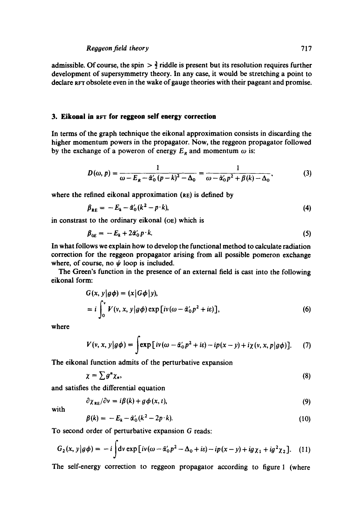admissible. Of course, the spin  $\frac{3}{2}$  riddle is present but its resolution requires further development of supersymmetry theory. In any ease, it would be stretching a point to declare Rrr obsolete even in the wake of gauge theories with their pageant and promise.

# **3. Eikonal in RFT for reggeon self energy correction**

In terms of the graph technique the eikonal approximation consists in discarding the higher momentum powers in the propagator. Now, the reggeon propagator followed by the exchange of a poweron of energy  $E_R$  and momentum  $\omega$  is:

$$
D(\omega, p) = \frac{1}{\omega - E_R - \tilde{\alpha}'_0 (p - k)^2 - \Delta_0} = \frac{1}{\omega - \tilde{\alpha}'_0 p^2 + \beta(k) - \Delta_0},
$$
(3)

where the refined eikonal approximation (RE) is defined by

$$
\beta_{RE} = -E_k - \tilde{\alpha}'_0 (k^2 - p \cdot k), \tag{4}
$$

in constrast to the ordinary eikonal (OE) which is

$$
\beta_{0E} = -E_k + 2\tilde{\alpha}_0' p \cdot k. \tag{5}
$$

In what follows we explain how to develop the functional method to calculate radiation correction for the reggeon propagator arising from all possible pomeron exchange where, of course, no  $\psi$  loop is included.

The Green's function in the presence of an external field is cast into the following eikonal form:

$$
G(x, y | g\phi) = (x | G\phi | y),
$$
  
=  $i \int_0^v V(v, x, y | g\phi) \exp [iv(\omega - \tilde{\alpha}'_0 p^2 + i\varepsilon)],$  (6)

where

$$
V(v, x, y|g\phi) = \int \exp[i v (\omega - \tilde{\alpha}_0' p^2 + i\varepsilon) - i p(x - y) + i \chi(v, x, p|g\phi)]. \quad (7)
$$

The eikonal function admits of the perturbative expansion

$$
\chi = \sum g^n \chi_n,\tag{8}
$$

and satisfies the differential equation

$$
\partial \chi_{RE} / \partial v = i \beta(k) + g \phi(x, t), \tag{9}
$$

with

$$
\beta(k) = -E_k - \tilde{\alpha}'_0(k^2 - 2p \cdot k). \tag{10}
$$

To second order of perturbative expansion G reads:

$$
G_2(x, y|g\phi) = -i\int dv \exp\left[iv(\omega - \tilde{\alpha}_0' p^2 - \Delta_0 + i\varepsilon) - ip(x - y) + ig\chi_1 + ig^2\chi_2\right].
$$
 (11)

The self-energy correction to reggeon propagator according to figure 1 (where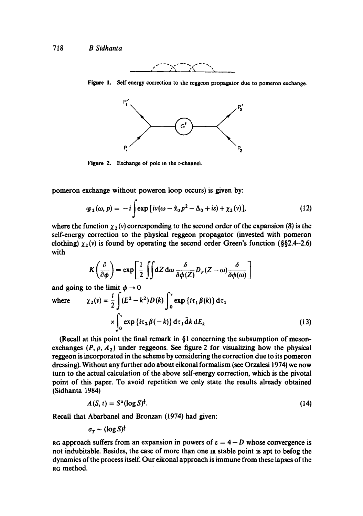

**Figure** 1. Self energy correction to the reggeon propagator due to pomeron exchange.



**Figure** 2. Exchange of pole in the t-channel.

pomeron exchange without poweron loop occurs) is given by:

$$
\mathscr{G}_2(\omega, p) = -i \int \exp\left[ i v (\omega - \tilde{\alpha}_0 p^2 - \Delta_0 + i \varepsilon) + \chi_2(v) \right],\tag{12}
$$

where the function  $\chi_2(v)$  corresponding to the second order of the expansion (8) is the self-energy correction to the physical reggeon propagator (invested with pomeron clothing)  $\chi_2(v)$  is found by operating the second order Green's function (§§2.4-2.6) with

$$
K\left(\frac{\partial}{\partial \phi}\right) = \exp\left[\frac{1}{2}\iint dZ d\omega \frac{\delta}{\delta \phi(Z)} D_{F}(Z-\omega)\frac{\delta}{\delta \phi(\omega)}\right]
$$

and going to the limit  $\phi \rightarrow 0$ 

where 
$$
\chi_2(v) = \frac{i}{2} \int (E^2 - k^2) D(k) \int_0^v \exp\{i\tau_1 \beta(k)\} d\tau_1
$$

$$
\times \int_0^v \exp\{i\tau_2 \beta(-k)\} d\tau_1 \tilde{d}k dE_k
$$
(13)

(Recall at this point the final remark in  $\S$ 1 concerning the subsumption of mesonexchanges  $(P, \rho, A_2)$  under reggeons. See figure 2 for visualizing how the physical reggeon is incorporated in the scheme by considering the correction due to its pomeron dressing). Without any further ado about eikonal formalism (see Orzalesi 1974) we now turn to the actual calculation of the above self-energy correction, which is the pivotal point of this paper. To avoid repetition we only state the results already obtained (Sidhanta 1984)

$$
A(S, t) = S^{\alpha} (\log S)^{\frac{1}{2}}.
$$
 (14)

Recall that Abarbanel and Bronzan (1974) had given:

$$
\sigma_{\tau} \sim (\log S)^{\frac{1}{6}}
$$

RG approach suffers from an expansion in powers of  $\varepsilon = 4 - D$  whose convergence is not indubitable. Besides, the case of more than one IR stable point is apt to befog the dynamics of the process itself. Our eikonal approach is immune from these lapses of the RG method.